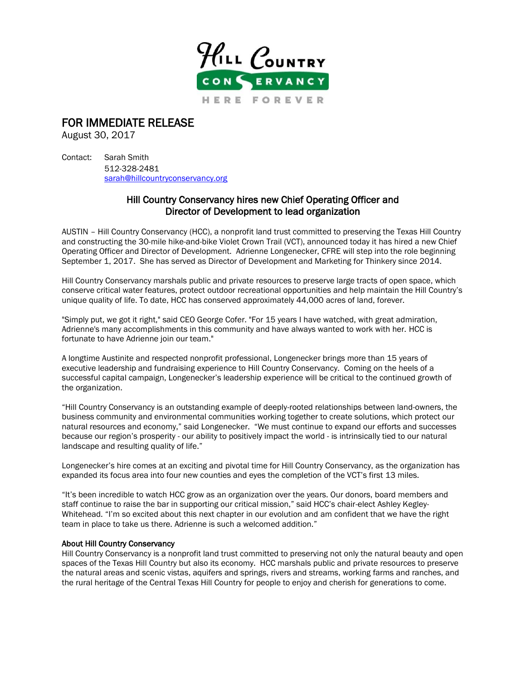

## FOR IMMEDIATE RELEASE

August 30, 2017

Contact: Sarah Smith 512-328-2481 [sarah@hillcountryconservancy.org](mailto:sarah@hillcountryconservancy.org)

## Hill Country Conservancy hires new Chief Operating Officer and Director of Development to lead organization

AUSTIN – Hill Country Conservancy (HCC), a nonprofit land trust committed to preserving the Texas Hill Country and constructing the 30-mile hike-and-bike Violet Crown Trail (VCT), announced today it has hired a new Chief Operating Officer and Director of Development. Adrienne Longenecker, CFRE will step into the role beginning September 1, 2017. She has served as Director of Development and Marketing for Thinkery since 2014.

Hill Country Conservancy marshals public and private resources to preserve large tracts of open space, which conserve critical water features, protect outdoor recreational opportunities and help maintain the Hill Country's unique quality of life. To date, HCC has conserved approximately 44,000 acres of land, forever.

"Simply put, we got it right," said CEO George Cofer. "For 15 years I have watched, with great admiration, Adrienne's many accomplishments in this community and have always wanted to work with her. HCC is fortunate to have Adrienne join our team."

A longtime Austinite and respected nonprofit professional, Longenecker brings more than 15 years of executive leadership and fundraising experience to Hill Country Conservancy. Coming on the heels of a successful capital campaign, Longenecker's leadership experience will be critical to the continued growth of the organization.

"Hill Country Conservancy is an outstanding example of deeply-rooted relationships between land-owners, the business community and environmental communities working together to create solutions, which protect our natural resources and economy," said Longenecker. "We must continue to expand our efforts and successes because our region's prosperity - our ability to positively impact the world - is intrinsically tied to our natural landscape and resulting quality of life."

Longenecker's hire comes at an exciting and pivotal time for Hill Country Conservancy, as the organization has expanded its focus area into four new counties and eyes the completion of the VCT's first 13 miles.

"It's been incredible to watch HCC grow as an organization over the years. Our donors, board members and staff continue to raise the bar in supporting our critical mission," said HCC's chair-elect Ashley Kegley-Whitehead. "I'm so excited about this next chapter in our evolution and am confident that we have the right team in place to take us there. Adrienne is such a welcomed addition."

## About Hill Country Conservancy

Hill Country Conservancy is a nonprofit land trust committed to preserving not only the natural beauty and open spaces of the Texas Hill Country but also its economy. HCC marshals public and private resources to preserve the natural areas and scenic vistas, aquifers and springs, rivers and streams, working farms and ranches, and the rural heritage of the Central Texas Hill Country for people to enjoy and cherish for generations to come.